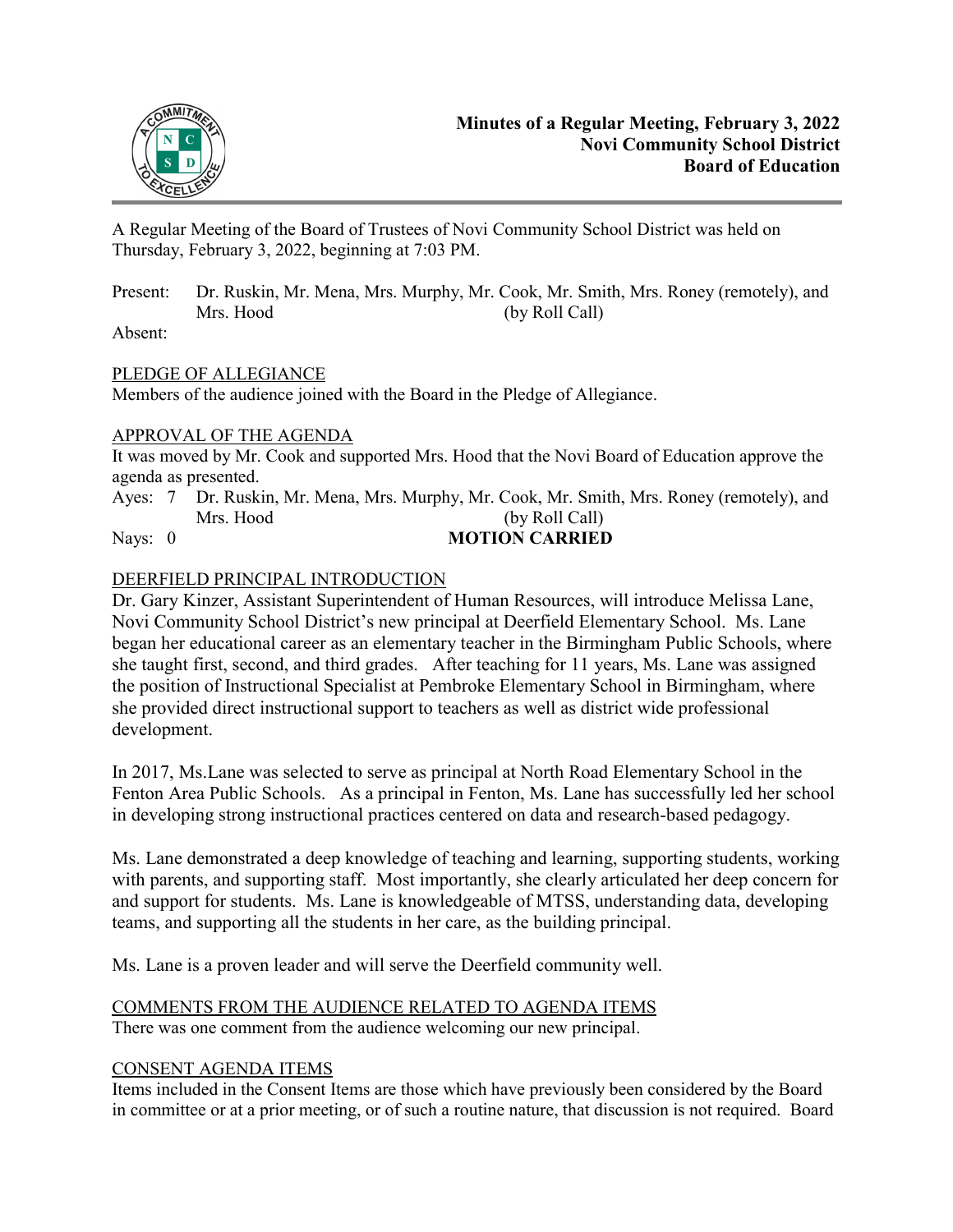

A Regular Meeting of the Board of Trustees of Novi Community School District was held on Thursday, February 3, 2022, beginning at 7:03 PM.

Present: Dr. Ruskin, Mr. Mena, Mrs. Murphy, Mr. Cook, Mr. Smith, Mrs. Roney (remotely), and Mrs. Hood (by Roll Call)

Absent:

# PLEDGE OF ALLEGIANCE

Members of the audience joined with the Board in the Pledge of Allegiance.

# APPROVAL OF THE AGENDA

It was moved by Mr. Cook and supported Mrs. Hood that the Novi Board of Education approve the agenda as presented.

Ayes: 7 Dr. Ruskin, Mr. Mena, Mrs. Murphy, Mr. Cook, Mr. Smith, Mrs. Roney (remotely), and Mrs. Hood (by Roll Call) Nays: 0 **MOTION CARRIED** 

# DEERFIELD PRINCIPAL INTRODUCTION

Dr. Gary Kinzer, Assistant Superintendent of Human Resources, will introduce Melissa Lane, Novi Community School District's new principal at Deerfield Elementary School. Ms. Lane began her educational career as an elementary teacher in the Birmingham Public Schools, where she taught first, second, and third grades. After teaching for 11 years, Ms. Lane was assigned the position of Instructional Specialist at Pembroke Elementary School in Birmingham, where she provided direct instructional support to teachers as well as district wide professional development.

In 2017, Ms.Lane was selected to serve as principal at North Road Elementary School in the Fenton Area Public Schools. As a principal in Fenton, Ms. Lane has successfully led her school in developing strong instructional practices centered on data and research-based pedagogy.

Ms. Lane demonstrated a deep knowledge of teaching and learning, supporting students, working with parents, and supporting staff. Most importantly, she clearly articulated her deep concern for and support for students. Ms. Lane is knowledgeable of MTSS, understanding data, developing teams, and supporting all the students in her care, as the building principal.

Ms. Lane is a proven leader and will serve the Deerfield community well.

# COMMENTS FROM THE AUDIENCE RELATED TO AGENDA ITEMS

There was one comment from the audience welcoming our new principal.

# CONSENT AGENDA ITEMS

Items included in the Consent Items are those which have previously been considered by the Board in committee or at a prior meeting, or of such a routine nature, that discussion is not required. Board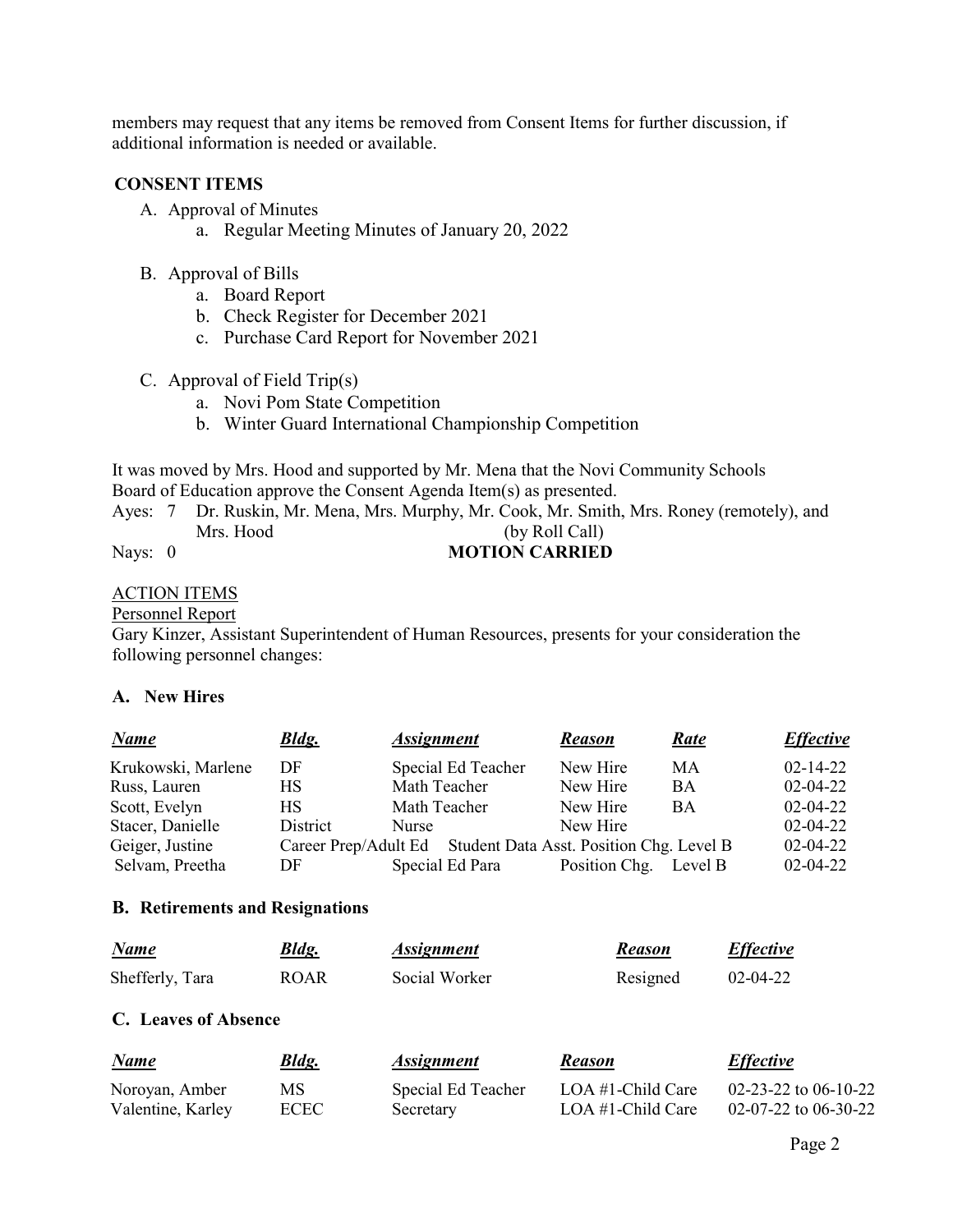members may request that any items be removed from Consent Items for further discussion, if additional information is needed or available.

## **CONSENT ITEMS**

- A. Approval of Minutes
	- a. Regular Meeting Minutes of January 20, 2022
- B. Approval of Bills
	- a. Board Report
	- b. Check Register for December 2021
	- c. Purchase Card Report for November 2021
- C. Approval of Field Trip(s)
	- a. Novi Pom State Competition
	- b. Winter Guard International Championship Competition

It was moved by Mrs. Hood and supported by Mr. Mena that the Novi Community Schools Board of Education approve the Consent Agenda Item(s) as presented.

Ayes: 7 Dr. Ruskin, Mr. Mena, Mrs. Murphy, Mr. Cook, Mr. Smith, Mrs. Roney (remotely), and Mrs. Hood (by Roll Call)

# Nays: 0 **MOTION CARRIED**

# ACTION ITEMS

#### Personnel Report

Gary Kinzer, Assistant Superintendent of Human Resources, presents for your consideration the following personnel changes:

## **A. New Hires**

| <b>Name</b>        | <b>Bldg.</b> | <b>Assignment</b>                                             | <b>Reason</b> | Rate    | <b>Effective</b> |
|--------------------|--------------|---------------------------------------------------------------|---------------|---------|------------------|
| Krukowski, Marlene | DF           | Special Ed Teacher                                            | New Hire      | MA      | $02 - 14 - 22$   |
| Russ, Lauren       | HS           | Math Teacher                                                  | New Hire      | BA      | $02 - 04 - 22$   |
| Scott, Evelyn      | <b>HS</b>    | Math Teacher                                                  | New Hire      | BA      | $02 - 04 - 22$   |
| Stacer, Danielle   | District     | <b>Nurse</b>                                                  | New Hire      |         | $02 - 04 - 22$   |
| Geiger, Justine    |              | Career Prep/Adult Ed Student Data Asst. Position Chg. Level B |               |         | $02 - 04 - 22$   |
| Selvam, Preetha    | DF           | Special Ed Para                                               | Position Chg. | Level B | $02 - 04 - 22$   |
|                    |              |                                                               |               |         |                  |

#### **B. Retirements and Resignations**

| Name            | Bldg.       | <i><b>Assignment</b></i> | <b>Reason</b> | <b>Effective</b> |
|-----------------|-------------|--------------------------|---------------|------------------|
| Shefferly, Tara | <b>ROAR</b> | Social Worker            | Resigned      | $02 - 04 - 22$   |

# **C. Leaves of Absence**

| Name              | <b>Bldg.</b> | <i>Assignment</i>  | <b>Reason</b>        | <b>Effective</b>       |
|-------------------|--------------|--------------------|----------------------|------------------------|
| Noroyan, Amber    | MS           | Special Ed Teacher | LOA $#1$ -Child Care | 02-23-22 to 06-10-22   |
| Valentine, Karley | <b>ECEC</b>  | Secretary          | LOA $#1$ -Child Care | $02-07-22$ to 06-30-22 |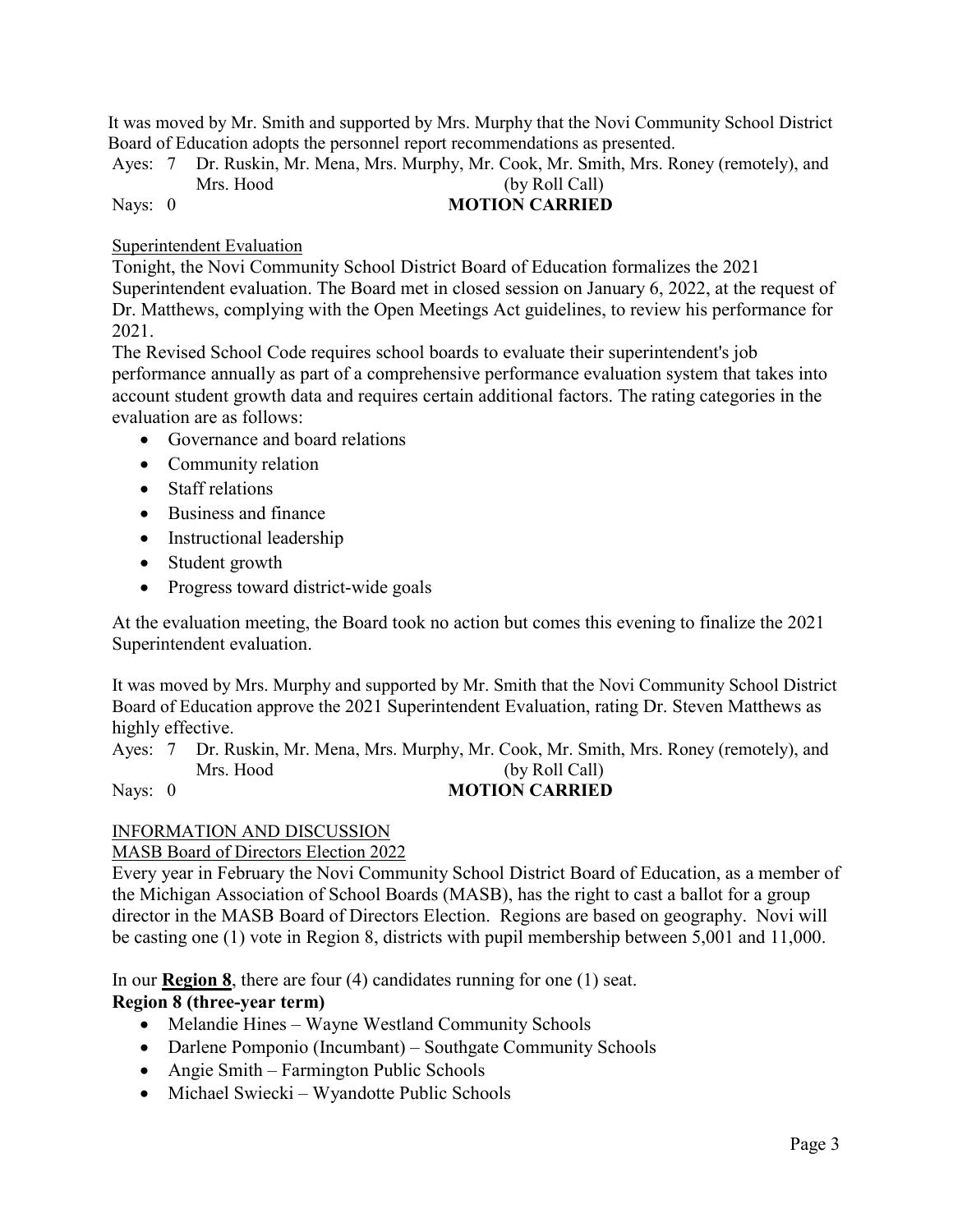It was moved by Mr. Smith and supported by Mrs. Murphy that the Novi Community School District Board of Education adopts the personnel report recommendations as presented.

Ayes: 7 Dr. Ruskin, Mr. Mena, Mrs. Murphy, Mr. Cook, Mr. Smith, Mrs. Roney (remotely), and Mrs. Hood (by Roll Call)

# Nays: 0 **MOTION CARRIED**

Superintendent Evaluation

Tonight, the Novi Community School District Board of Education formalizes the 2021 Superintendent evaluation. The Board met in closed session on January 6, 2022, at the request of Dr. Matthews, complying with the Open Meetings Act guidelines, to review his performance for 2021.

The Revised School Code requires school boards to evaluate their superintendent's job performance annually as part of a comprehensive performance evaluation system that takes into account student growth data and requires certain additional factors. The rating categories in the evaluation are as follows:

- Governance and board relations
- Community relation
- Staff relations
- Business and finance
- Instructional leadership
- Student growth
- Progress toward district-wide goals

At the evaluation meeting, the Board took no action but comes this evening to finalize the 2021 Superintendent evaluation.

It was moved by Mrs. Murphy and supported by Mr. Smith that the Novi Community School District Board of Education approve the 2021 Superintendent Evaluation, rating Dr. Steven Matthews as highly effective.

Ayes: 7 Dr. Ruskin, Mr. Mena, Mrs. Murphy, Mr. Cook, Mr. Smith, Mrs. Roney (remotely), and Mrs. Hood (by Roll Call) Nays: 0 **MOTION CARRIED** 

# INFORMATION AND DISCUSSION

# MASB Board of Directors Election 2022

Every year in February the Novi Community School District Board of Education, as a member of the Michigan Association of School Boards (MASB), has the right to cast a ballot for a group director in the MASB Board of Directors Election. Regions are based on geography. Novi will be casting one (1) vote in Region 8, districts with pupil membership between 5,001 and 11,000.

In our **Region 8**, there are four (4) candidates running for one (1) seat.

# **Region 8 (three-year term)**

- Melandie Hines Wayne Westland Community Schools
- Darlene Pomponio (Incumbant) Southgate Community Schools
- Angie Smith Farmington Public Schools
- Michael Swiecki Wyandotte Public Schools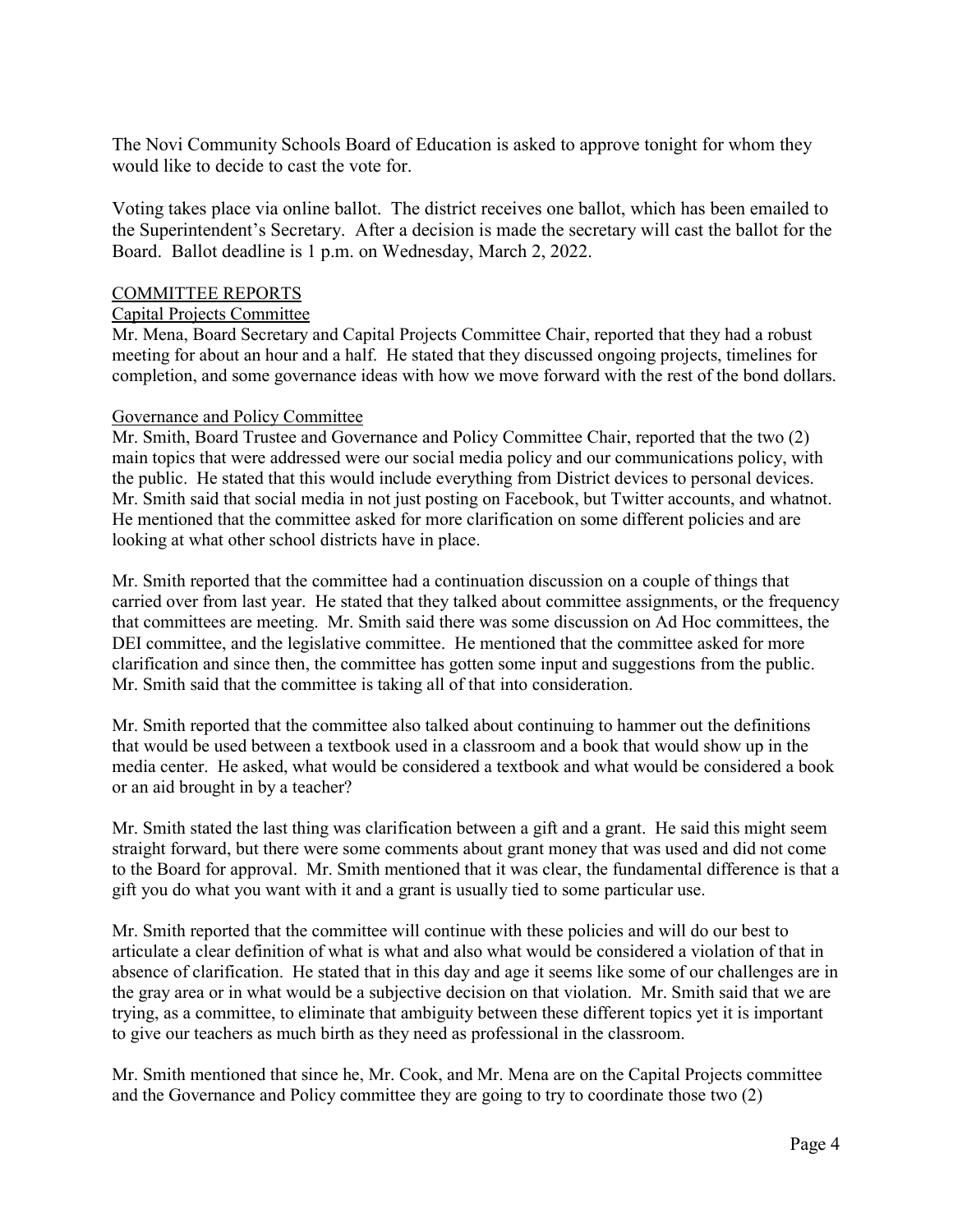The Novi Community Schools Board of Education is asked to approve tonight for whom they would like to decide to cast the vote for.

Voting takes place via online ballot. The district receives one ballot, which has been emailed to the Superintendent's Secretary. After a decision is made the secretary will cast the ballot for the Board. Ballot deadline is 1 p.m. on Wednesday, March 2, 2022.

#### COMMITTEE REPORTS

#### Capital Projects Committee

Mr. Mena, Board Secretary and Capital Projects Committee Chair, reported that they had a robust meeting for about an hour and a half. He stated that they discussed ongoing projects, timelines for completion, and some governance ideas with how we move forward with the rest of the bond dollars.

#### Governance and Policy Committee

Mr. Smith, Board Trustee and Governance and Policy Committee Chair, reported that the two (2) main topics that were addressed were our social media policy and our communications policy, with the public. He stated that this would include everything from District devices to personal devices. Mr. Smith said that social media in not just posting on Facebook, but Twitter accounts, and whatnot. He mentioned that the committee asked for more clarification on some different policies and are looking at what other school districts have in place.

Mr. Smith reported that the committee had a continuation discussion on a couple of things that carried over from last year. He stated that they talked about committee assignments, or the frequency that committees are meeting. Mr. Smith said there was some discussion on Ad Hoc committees, the DEI committee, and the legislative committee. He mentioned that the committee asked for more clarification and since then, the committee has gotten some input and suggestions from the public. Mr. Smith said that the committee is taking all of that into consideration.

Mr. Smith reported that the committee also talked about continuing to hammer out the definitions that would be used between a textbook used in a classroom and a book that would show up in the media center. He asked, what would be considered a textbook and what would be considered a book or an aid brought in by a teacher?

Mr. Smith stated the last thing was clarification between a gift and a grant. He said this might seem straight forward, but there were some comments about grant money that was used and did not come to the Board for approval. Mr. Smith mentioned that it was clear, the fundamental difference is that a gift you do what you want with it and a grant is usually tied to some particular use.

Mr. Smith reported that the committee will continue with these policies and will do our best to articulate a clear definition of what is what and also what would be considered a violation of that in absence of clarification. He stated that in this day and age it seems like some of our challenges are in the gray area or in what would be a subjective decision on that violation. Mr. Smith said that we are trying, as a committee, to eliminate that ambiguity between these different topics yet it is important to give our teachers as much birth as they need as professional in the classroom.

Mr. Smith mentioned that since he, Mr. Cook, and Mr. Mena are on the Capital Projects committee and the Governance and Policy committee they are going to try to coordinate those two (2)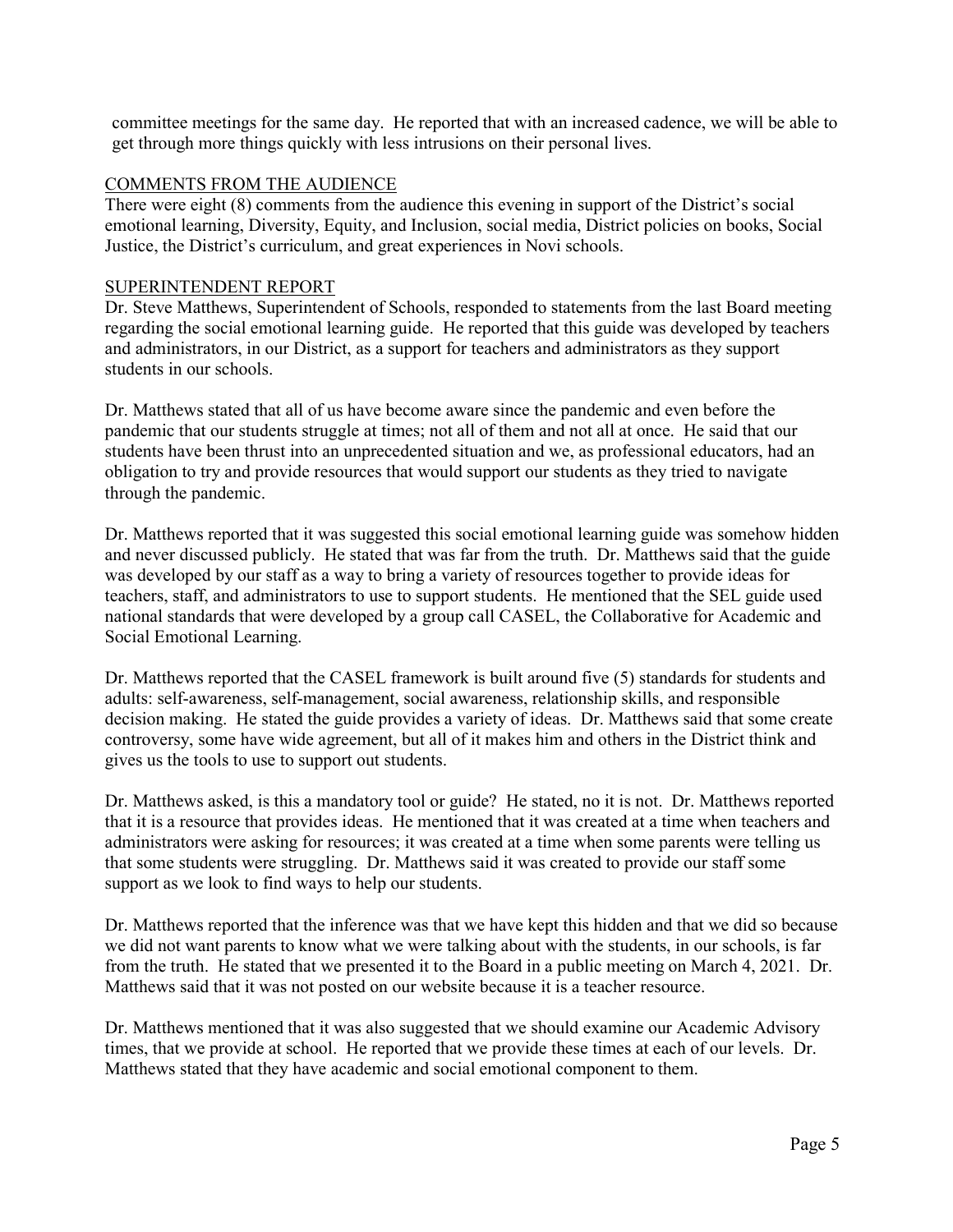committee meetings for the same day. He reported that with an increased cadence, we will be able to get through more things quickly with less intrusions on their personal lives.

### COMMENTS FROM THE AUDIENCE

There were eight (8) comments from the audience this evening in support of the District's social emotional learning, Diversity, Equity, and Inclusion, social media, District policies on books, Social Justice, the District's curriculum, and great experiences in Novi schools.

# SUPERINTENDENT REPORT

Dr. Steve Matthews, Superintendent of Schools, responded to statements from the last Board meeting regarding the social emotional learning guide. He reported that this guide was developed by teachers and administrators, in our District, as a support for teachers and administrators as they support students in our schools.

Dr. Matthews stated that all of us have become aware since the pandemic and even before the pandemic that our students struggle at times; not all of them and not all at once. He said that our students have been thrust into an unprecedented situation and we, as professional educators, had an obligation to try and provide resources that would support our students as they tried to navigate through the pandemic.

Dr. Matthews reported that it was suggested this social emotional learning guide was somehow hidden and never discussed publicly. He stated that was far from the truth. Dr. Matthews said that the guide was developed by our staff as a way to bring a variety of resources together to provide ideas for teachers, staff, and administrators to use to support students. He mentioned that the SEL guide used national standards that were developed by a group call CASEL, the Collaborative for Academic and Social Emotional Learning.

Dr. Matthews reported that the CASEL framework is built around five (5) standards for students and adults: self-awareness, self-management, social awareness, relationship skills, and responsible decision making. He stated the guide provides a variety of ideas. Dr. Matthews said that some create controversy, some have wide agreement, but all of it makes him and others in the District think and gives us the tools to use to support out students.

Dr. Matthews asked, is this a mandatory tool or guide? He stated, no it is not. Dr. Matthews reported that it is a resource that provides ideas. He mentioned that it was created at a time when teachers and administrators were asking for resources; it was created at a time when some parents were telling us that some students were struggling. Dr. Matthews said it was created to provide our staff some support as we look to find ways to help our students.

Dr. Matthews reported that the inference was that we have kept this hidden and that we did so because we did not want parents to know what we were talking about with the students, in our schools, is far from the truth. He stated that we presented it to the Board in a public meeting on March 4, 2021. Dr. Matthews said that it was not posted on our website because it is a teacher resource.

Dr. Matthews mentioned that it was also suggested that we should examine our Academic Advisory times, that we provide at school. He reported that we provide these times at each of our levels. Dr. Matthews stated that they have academic and social emotional component to them.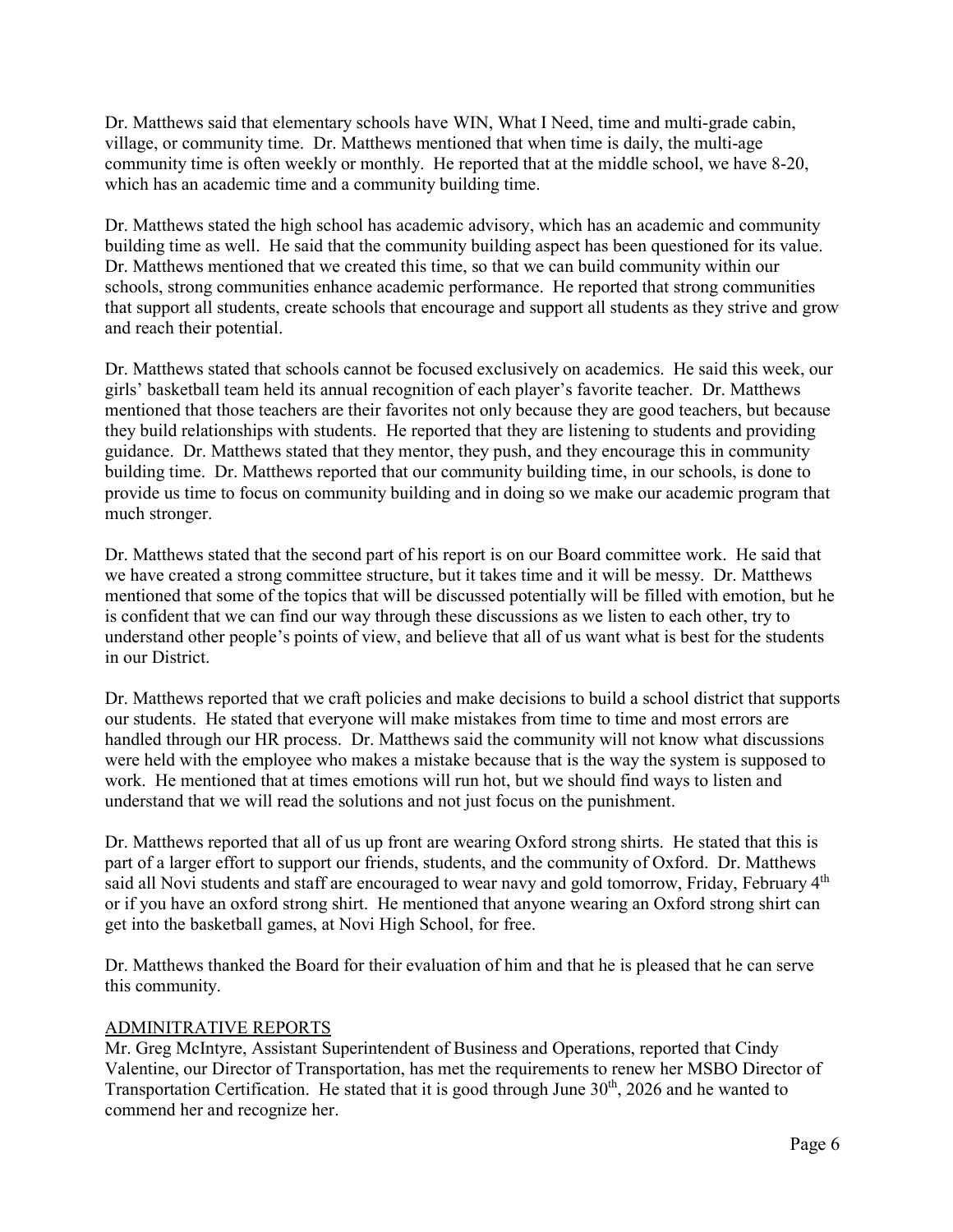Dr. Matthews said that elementary schools have WIN, What I Need, time and multi-grade cabin, village, or community time. Dr. Matthews mentioned that when time is daily, the multi-age community time is often weekly or monthly. He reported that at the middle school, we have 8-20, which has an academic time and a community building time.

Dr. Matthews stated the high school has academic advisory, which has an academic and community building time as well. He said that the community building aspect has been questioned for its value. Dr. Matthews mentioned that we created this time, so that we can build community within our schools, strong communities enhance academic performance. He reported that strong communities that support all students, create schools that encourage and support all students as they strive and grow and reach their potential.

Dr. Matthews stated that schools cannot be focused exclusively on academics. He said this week, our girls' basketball team held its annual recognition of each player's favorite teacher. Dr. Matthews mentioned that those teachers are their favorites not only because they are good teachers, but because they build relationships with students. He reported that they are listening to students and providing guidance. Dr. Matthews stated that they mentor, they push, and they encourage this in community building time. Dr. Matthews reported that our community building time, in our schools, is done to provide us time to focus on community building and in doing so we make our academic program that much stronger.

Dr. Matthews stated that the second part of his report is on our Board committee work. He said that we have created a strong committee structure, but it takes time and it will be messy. Dr. Matthews mentioned that some of the topics that will be discussed potentially will be filled with emotion, but he is confident that we can find our way through these discussions as we listen to each other, try to understand other people's points of view, and believe that all of us want what is best for the students in our District.

Dr. Matthews reported that we craft policies and make decisions to build a school district that supports our students. He stated that everyone will make mistakes from time to time and most errors are handled through our HR process. Dr. Matthews said the community will not know what discussions were held with the employee who makes a mistake because that is the way the system is supposed to work. He mentioned that at times emotions will run hot, but we should find ways to listen and understand that we will read the solutions and not just focus on the punishment.

Dr. Matthews reported that all of us up front are wearing Oxford strong shirts. He stated that this is part of a larger effort to support our friends, students, and the community of Oxford. Dr. Matthews said all Novi students and staff are encouraged to wear navy and gold tomorrow, Friday, February 4<sup>th</sup> or if you have an oxford strong shirt. He mentioned that anyone wearing an Oxford strong shirt can get into the basketball games, at Novi High School, for free.

Dr. Matthews thanked the Board for their evaluation of him and that he is pleased that he can serve this community.

#### ADMINITRATIVE REPORTS

Mr. Greg McIntyre, Assistant Superintendent of Business and Operations, reported that Cindy Valentine, our Director of Transportation, has met the requirements to renew her MSBO Director of Transportation Certification. He stated that it is good through June 30<sup>th</sup>, 2026 and he wanted to commend her and recognize her.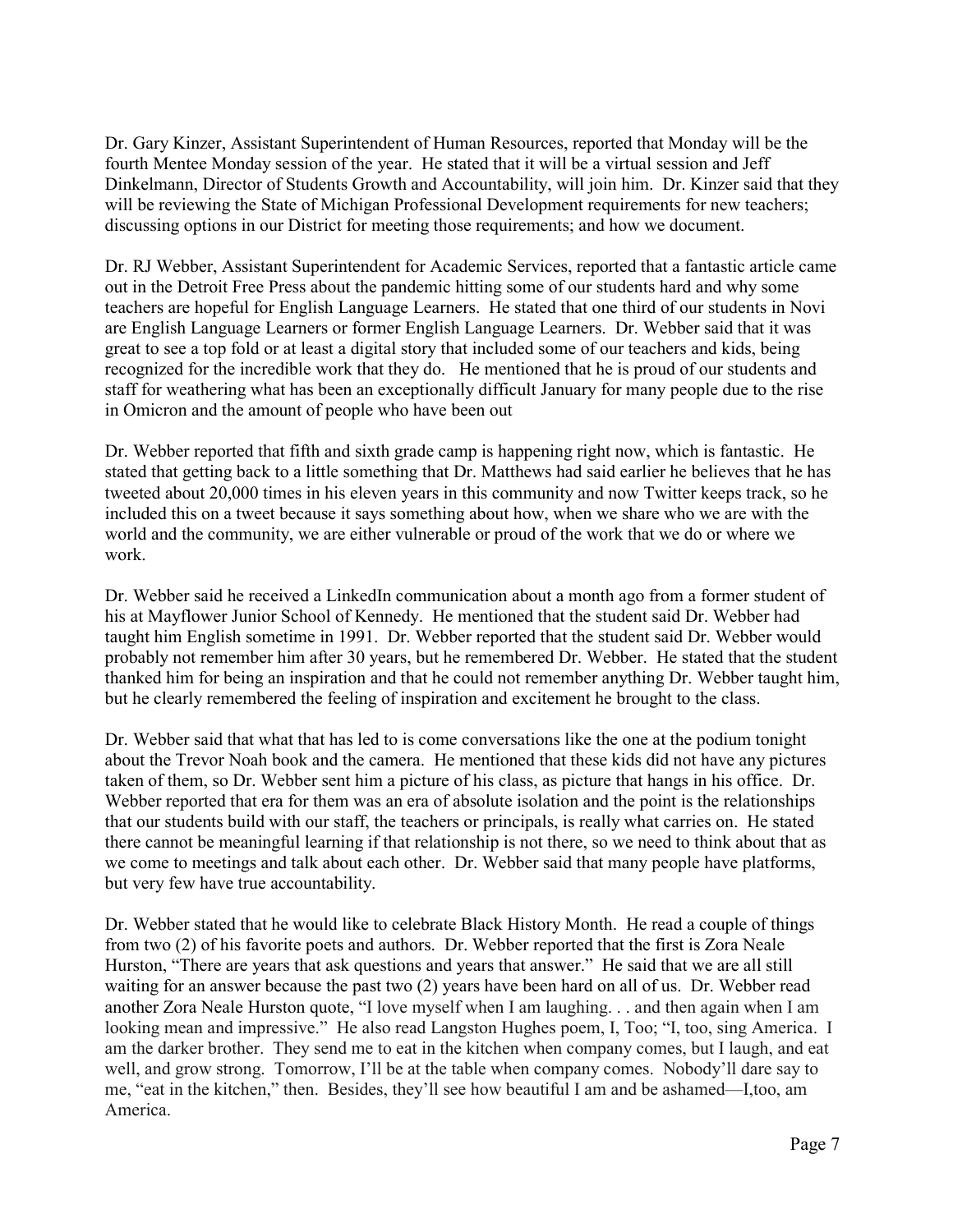Dr. Gary Kinzer, Assistant Superintendent of Human Resources, reported that Monday will be the fourth Mentee Monday session of the year. He stated that it will be a virtual session and Jeff Dinkelmann, Director of Students Growth and Accountability, will join him. Dr. Kinzer said that they will be reviewing the State of Michigan Professional Development requirements for new teachers; discussing options in our District for meeting those requirements; and how we document.

Dr. RJ Webber, Assistant Superintendent for Academic Services, reported that a fantastic article came out in the Detroit Free Press about the pandemic hitting some of our students hard and why some teachers are hopeful for English Language Learners. He stated that one third of our students in Novi are English Language Learners or former English Language Learners. Dr. Webber said that it was great to see a top fold or at least a digital story that included some of our teachers and kids, being recognized for the incredible work that they do. He mentioned that he is proud of our students and staff for weathering what has been an exceptionally difficult January for many people due to the rise in Omicron and the amount of people who have been out

Dr. Webber reported that fifth and sixth grade camp is happening right now, which is fantastic. He stated that getting back to a little something that Dr. Matthews had said earlier he believes that he has tweeted about 20,000 times in his eleven years in this community and now Twitter keeps track, so he included this on a tweet because it says something about how, when we share who we are with the world and the community, we are either vulnerable or proud of the work that we do or where we work.

Dr. Webber said he received a LinkedIn communication about a month ago from a former student of his at Mayflower Junior School of Kennedy. He mentioned that the student said Dr. Webber had taught him English sometime in 1991. Dr. Webber reported that the student said Dr. Webber would probably not remember him after 30 years, but he remembered Dr. Webber. He stated that the student thanked him for being an inspiration and that he could not remember anything Dr. Webber taught him, but he clearly remembered the feeling of inspiration and excitement he brought to the class.

Dr. Webber said that what that has led to is come conversations like the one at the podium tonight about the Trevor Noah book and the camera. He mentioned that these kids did not have any pictures taken of them, so Dr. Webber sent him a picture of his class, as picture that hangs in his office. Dr. Webber reported that era for them was an era of absolute isolation and the point is the relationships that our students build with our staff, the teachers or principals, is really what carries on. He stated there cannot be meaningful learning if that relationship is not there, so we need to think about that as we come to meetings and talk about each other. Dr. Webber said that many people have platforms, but very few have true accountability.

Dr. Webber stated that he would like to celebrate Black History Month. He read a couple of things from two (2) of his favorite poets and authors. Dr. Webber reported that the first is Zora Neale Hurston, "There are years that ask questions and years that answer." He said that we are all still waiting for an answer because the past two (2) years have been hard on all of us. Dr. Webber read another Zora Neale Hurston quote, "I love myself when I am laughing. . . and then again when I am looking mean and impressive." He also read Langston Hughes poem, I, Too; "I, too, sing America. I am the darker brother. They send me to eat in the kitchen when company comes, but I laugh, and eat well, and grow strong. Tomorrow, I'll be at the table when company comes. Nobody'll dare say to me, "eat in the kitchen," then. Besides, they'll see how beautiful I am and be ashamed—I,too, am America.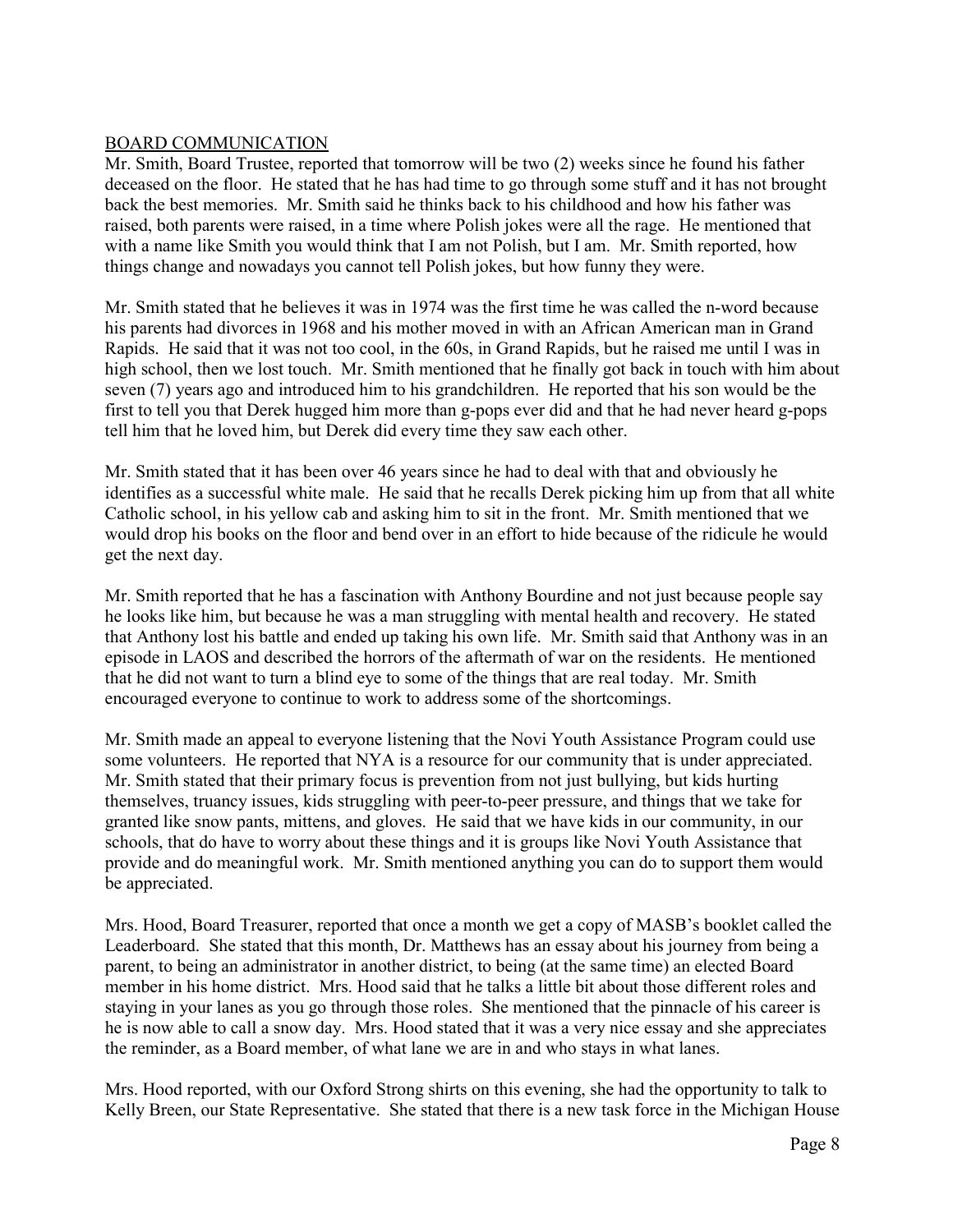## BOARD COMMUNICATION

Mr. Smith, Board Trustee, reported that tomorrow will be two (2) weeks since he found his father deceased on the floor. He stated that he has had time to go through some stuff and it has not brought back the best memories. Mr. Smith said he thinks back to his childhood and how his father was raised, both parents were raised, in a time where Polish jokes were all the rage. He mentioned that with a name like Smith you would think that I am not Polish, but I am. Mr. Smith reported, how things change and nowadays you cannot tell Polish jokes, but how funny they were.

Mr. Smith stated that he believes it was in 1974 was the first time he was called the n-word because his parents had divorces in 1968 and his mother moved in with an African American man in Grand Rapids. He said that it was not too cool, in the 60s, in Grand Rapids, but he raised me until I was in high school, then we lost touch. Mr. Smith mentioned that he finally got back in touch with him about seven (7) years ago and introduced him to his grandchildren. He reported that his son would be the first to tell you that Derek hugged him more than g-pops ever did and that he had never heard g-pops tell him that he loved him, but Derek did every time they saw each other.

Mr. Smith stated that it has been over 46 years since he had to deal with that and obviously he identifies as a successful white male. He said that he recalls Derek picking him up from that all white Catholic school, in his yellow cab and asking him to sit in the front. Mr. Smith mentioned that we would drop his books on the floor and bend over in an effort to hide because of the ridicule he would get the next day.

Mr. Smith reported that he has a fascination with Anthony Bourdine and not just because people say he looks like him, but because he was a man struggling with mental health and recovery. He stated that Anthony lost his battle and ended up taking his own life. Mr. Smith said that Anthony was in an episode in LAOS and described the horrors of the aftermath of war on the residents. He mentioned that he did not want to turn a blind eye to some of the things that are real today. Mr. Smith encouraged everyone to continue to work to address some of the shortcomings.

Mr. Smith made an appeal to everyone listening that the Novi Youth Assistance Program could use some volunteers. He reported that NYA is a resource for our community that is under appreciated. Mr. Smith stated that their primary focus is prevention from not just bullying, but kids hurting themselves, truancy issues, kids struggling with peer-to-peer pressure, and things that we take for granted like snow pants, mittens, and gloves. He said that we have kids in our community, in our schools, that do have to worry about these things and it is groups like Novi Youth Assistance that provide and do meaningful work. Mr. Smith mentioned anything you can do to support them would be appreciated.

Mrs. Hood, Board Treasurer, reported that once a month we get a copy of MASB's booklet called the Leaderboard. She stated that this month, Dr. Matthews has an essay about his journey from being a parent, to being an administrator in another district, to being (at the same time) an elected Board member in his home district. Mrs. Hood said that he talks a little bit about those different roles and staying in your lanes as you go through those roles. She mentioned that the pinnacle of his career is he is now able to call a snow day. Mrs. Hood stated that it was a very nice essay and she appreciates the reminder, as a Board member, of what lane we are in and who stays in what lanes.

Mrs. Hood reported, with our Oxford Strong shirts on this evening, she had the opportunity to talk to Kelly Breen, our State Representative. She stated that there is a new task force in the Michigan House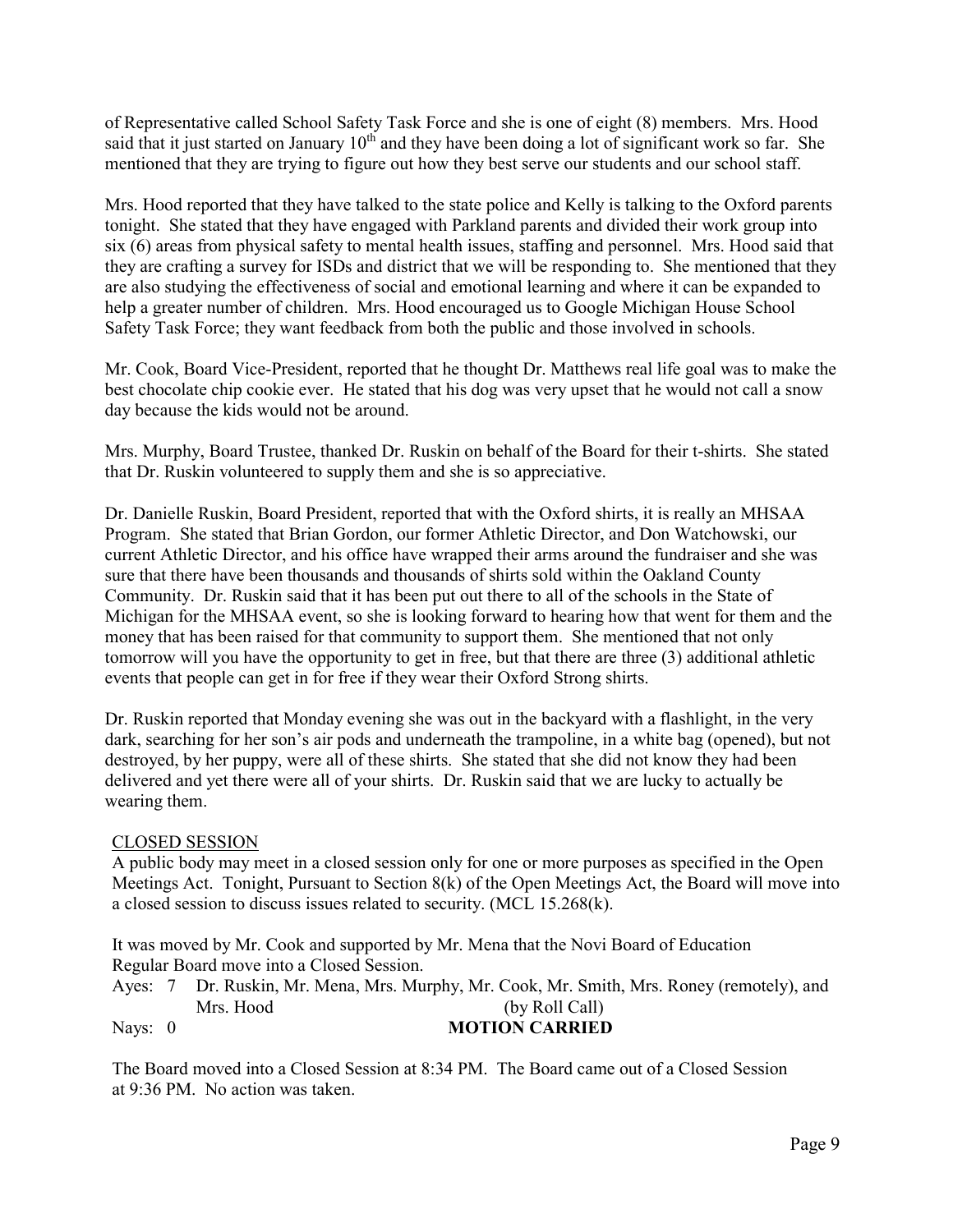of Representative called School Safety Task Force and she is one of eight (8) members. Mrs. Hood said that it just started on January  $10<sup>th</sup>$  and they have been doing a lot of significant work so far. She mentioned that they are trying to figure out how they best serve our students and our school staff.

Mrs. Hood reported that they have talked to the state police and Kelly is talking to the Oxford parents tonight. She stated that they have engaged with Parkland parents and divided their work group into six (6) areas from physical safety to mental health issues, staffing and personnel. Mrs. Hood said that they are crafting a survey for ISDs and district that we will be responding to. She mentioned that they are also studying the effectiveness of social and emotional learning and where it can be expanded to help a greater number of children. Mrs. Hood encouraged us to Google Michigan House School Safety Task Force; they want feedback from both the public and those involved in schools.

Mr. Cook, Board Vice-President, reported that he thought Dr. Matthews real life goal was to make the best chocolate chip cookie ever. He stated that his dog was very upset that he would not call a snow day because the kids would not be around.

Mrs. Murphy, Board Trustee, thanked Dr. Ruskin on behalf of the Board for their t-shirts. She stated that Dr. Ruskin volunteered to supply them and she is so appreciative.

Dr. Danielle Ruskin, Board President, reported that with the Oxford shirts, it is really an MHSAA Program. She stated that Brian Gordon, our former Athletic Director, and Don Watchowski, our current Athletic Director, and his office have wrapped their arms around the fundraiser and she was sure that there have been thousands and thousands of shirts sold within the Oakland County Community. Dr. Ruskin said that it has been put out there to all of the schools in the State of Michigan for the MHSAA event, so she is looking forward to hearing how that went for them and the money that has been raised for that community to support them. She mentioned that not only tomorrow will you have the opportunity to get in free, but that there are three (3) additional athletic events that people can get in for free if they wear their Oxford Strong shirts.

Dr. Ruskin reported that Monday evening she was out in the backyard with a flashlight, in the very dark, searching for her son's air pods and underneath the trampoline, in a white bag (opened), but not destroyed, by her puppy, were all of these shirts. She stated that she did not know they had been delivered and yet there were all of your shirts. Dr. Ruskin said that we are lucky to actually be wearing them.

# CLOSED SESSION

A public body may meet in a closed session only for one or more purposes as specified in the Open Meetings Act. Tonight, Pursuant to Section 8(k) of the Open Meetings Act, the Board will move into a closed session to discuss issues related to security. (MCL 15.268(k).

It was moved by Mr. Cook and supported by Mr. Mena that the Novi Board of Education Regular Board move into a Closed Session.

Ayes: 7 Dr. Ruskin, Mr. Mena, Mrs. Murphy, Mr. Cook, Mr. Smith, Mrs. Roney (remotely), and Mrs. Hood (by Roll Call) Nays: 0 **MOTION CARRIED** 

The Board moved into a Closed Session at 8:34 PM. The Board came out of a Closed Session at 9:36 PM. No action was taken.